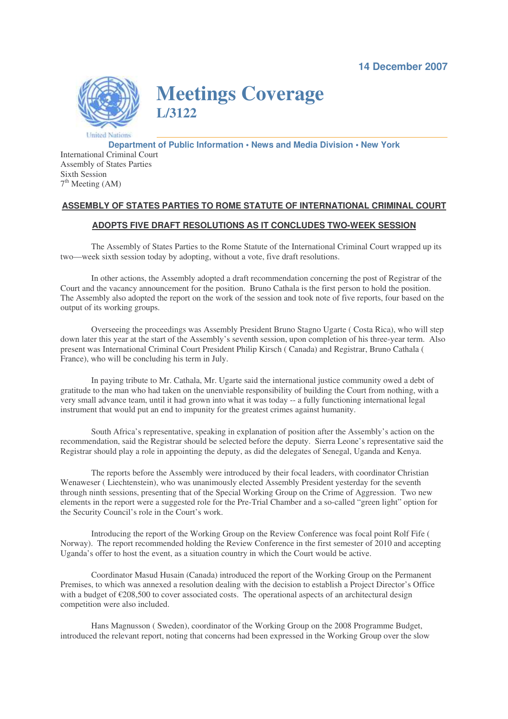**14 December 2007**



**Meetings Coverage L/3122**

**Department of Public Information • News and Media Division • New York** International Criminal Court Assembly of States Parties Sixth Session 7<sup>th</sup> Meeting (AM)

## **ASSEMBLY OF STATES PARTIES TO ROME STATUTE OF INTERNATIONAL CRIMINAL COURT**

## **ADOPTS FIVE DRAFT RESOLUTIONS AS IT CONCLUDES TWO-WEEK SESSION**

The Assembly of States Parties to the Rome Statute of the International Criminal Court wrapped up its two—week sixth session today by adopting, without a vote, five draft resolutions.

In other actions, the Assembly adopted a draft recommendation concerning the post of Registrar of the Court and the vacancy announcement for the position. Bruno Cathala is the first person to hold the position. The Assembly also adopted the report on the work of the session and took note of five reports, four based on the output of its working groups.

Overseeing the proceedings was Assembly President Bruno Stagno Ugarte ( Costa Rica), who will step down later this year at the start of the Assembly's seventh session, upon completion of his three-year term. Also present was International Criminal Court President Philip Kirsch ( Canada) and Registrar, Bruno Cathala ( France), who will be concluding his term in July.

In paying tribute to Mr. Cathala, Mr. Ugarte said the international justice community owed a debt of gratitude to the man who had taken on the unenviable responsibility of building the Court from nothing, with a very small advance team, until it had grown into what it was today -- a fully functioning international legal instrument that would put an end to impunity for the greatest crimes against humanity.

South Africa's representative, speaking in explanation of position after the Assembly's action on the recommendation, said the Registrar should be selected before the deputy. Sierra Leone's representative said the Registrar should play a role in appointing the deputy, as did the delegates of Senegal, Uganda and Kenya.

The reports before the Assembly were introduced by their focal leaders, with coordinator Christian Wenaweser ( Liechtenstein), who was unanimously elected Assembly President yesterday for the seventh through ninth sessions, presenting that of the Special Working Group on the Crime of Aggression. Two new elements in the report were a suggested role for the Pre-Trial Chamber and a so-called "green light" option for the Security Council's role in the Court's work.

Introducing the report of the Working Group on the Review Conference was focal point Rolf Fife ( Norway). The report recommended holding the Review Conference in the first semester of 2010 and accepting Uganda's offer to host the event, as a situation country in which the Court would be active.

Coordinator Masud Husain (Canada) introduced the report of the Working Group on the Permanent Premises, to which was annexed a resolution dealing with the decision to establish a Project Director's Office with a budget of  $\epsilon$ 208,500 to cover associated costs. The operational aspects of an architectural design competition were also included.

Hans Magnusson ( Sweden), coordinator of the Working Group on the 2008 Programme Budget, introduced the relevant report, noting that concerns had been expressed in the Working Group over the slow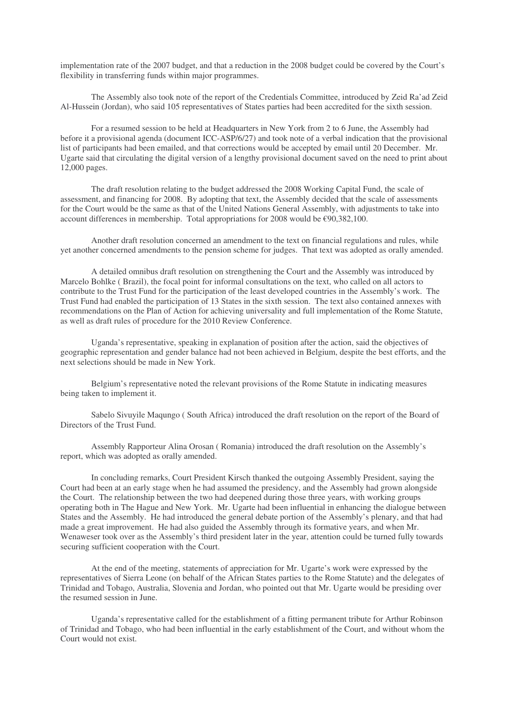implementation rate of the 2007 budget, and that a reduction in the 2008 budget could be covered by the Court's flexibility in transferring funds within major programmes.

The Assembly also took note of the report of the Credentials Committee, introduced by Zeid Ra'ad Zeid Al-Hussein (Jordan), who said 105 representatives of States parties had been accredited for the sixth session.

For a resumed session to be held at Headquarters in New York from 2 to 6 June, the Assembly had before it a provisional agenda (document ICC-ASP/6/27) and took note of a verbal indication that the provisional list of participants had been emailed, and that corrections would be accepted by email until 20 December. Mr. Ugarte said that circulating the digital version of a lengthy provisional document saved on the need to print about 12,000 pages.

The draft resolution relating to the budget addressed the 2008 Working Capital Fund, the scale of assessment, and financing for 2008. By adopting that text, the Assembly decided that the scale of assessments for the Court would be the same as that of the United Nations General Assembly, with adjustments to take into account differences in membership. Total appropriations for 2008 would be €90,382,100.

Another draft resolution concerned an amendment to the text on financial regulations and rules, while yet another concerned amendments to the pension scheme for judges. That text was adopted as orally amended.

A detailed omnibus draft resolution on strengthening the Court and the Assembly was introduced by Marcelo Bohlke ( Brazil), the focal point for informal consultations on the text, who called on all actors to contribute to the Trust Fund for the participation of the least developed countries in the Assembly's work. The Trust Fund had enabled the participation of 13 States in the sixth session. The text also contained annexes with recommendations on the Plan of Action for achieving universality and full implementation of the Rome Statute, as well as draft rules of procedure for the 2010 Review Conference.

Uganda's representative, speaking in explanation of position after the action, said the objectives of geographic representation and gender balance had not been achieved in Belgium, despite the best efforts, and the next selections should be made in New York.

Belgium's representative noted the relevant provisions of the Rome Statute in indicating measures being taken to implement it.

Sabelo Sivuyile Maqungo ( South Africa) introduced the draft resolution on the report of the Board of Directors of the Trust Fund.

Assembly Rapporteur Alina Orosan ( Romania) introduced the draft resolution on the Assembly's report, which was adopted as orally amended.

In concluding remarks, Court President Kirsch thanked the outgoing Assembly President, saying the Court had been at an early stage when he had assumed the presidency, and the Assembly had grown alongside the Court. The relationship between the two had deepened during those three years, with working groups operating both in The Hague and New York. Mr. Ugarte had been influential in enhancing the dialogue between States and the Assembly. He had introduced the general debate portion of the Assembly's plenary, and that had made a great improvement. He had also guided the Assembly through its formative years, and when Mr. Wenaweser took over as the Assembly's third president later in the year, attention could be turned fully towards securing sufficient cooperation with the Court.

At the end of the meeting, statements of appreciation for Mr. Ugarte's work were expressed by the representatives of Sierra Leone (on behalf of the African States parties to the Rome Statute) and the delegates of Trinidad and Tobago, Australia, Slovenia and Jordan, who pointed out that Mr. Ugarte would be presiding over the resumed session in June.

Uganda's representative called for the establishment of a fitting permanent tribute for Arthur Robinson of Trinidad and Tobago, who had been influential in the early establishment of the Court, and without whom the Court would not exist.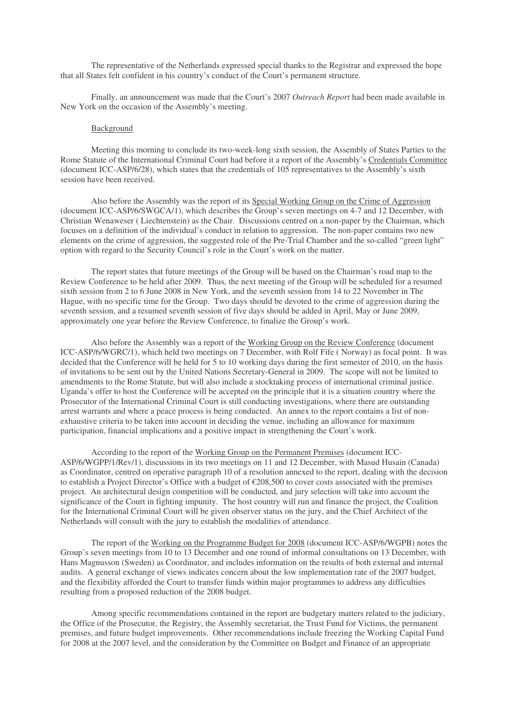The representative of the Netherlands expressed special thanks to the Registrar and expressed the hope that all States felt confident in his country's conduct of the Court's permanent structure.

Finally, an announcement was made that the Court's 2007 *Outreach Report* had been made available in New York on the occasion of the Assembly's meeting.

## Background

Meeting this morning to conclude its two-week-long sixth session, the Assembly of States Parties to the Rome Statute of the International Criminal Court had before it a report of the Assembly's Credentials Committee (document ICC-ASP/6/28), which states that the credentials of 105 representatives to the Assembly's sixth session have been received.

Also before the Assembly was the report of its Special Working Group on the Crime of Aggression (document ICC-ASP/6/SWGCA/1), which describes the Group's seven meetings on 4-7 and 12 December, with Christian Wenaweser ( Liechtenstein) as the Chair. Discussions centred on a non-paper by the Chairman, which focuses on a definition of the individual's conduct in relation to aggression. The non-paper contains two new elements on the crime of aggression, the suggested role of the Pre-Trial Chamber and the so-called "green light" option with regard to the Security Council's role in the Court's work on the matter.

The report states that future meetings of the Group will be based on the Chairman's road map to the Review Conference to be held after 2009. Thus, the next meeting of the Group will be scheduled for a resumed sixth session from 2 to 6 June 2008 in New York, and the seventh session from 14 to 22 November in The Hague, with no specific time for the Group. Two days should be devoted to the crime of aggression during the seventh session, and a resumed seventh session of five days should be added in April, May or June 2009, approximately one year before the Review Conference, to finalize the Group's work.

Also before the Assembly was a report of the Working Group on the Review Conference (document ICC-ASP/6/WGRC/1), which held two meetings on 7 December, with Rolf Fife ( Norway) as focal point. It was decided that the Conference will be held for 5 to 10 working days during the first semester of 2010, on the basis of invitations to be sent out by the United Nations Secretary-General in 2009. The scope will not be limited to amendments to the Rome Statute, but will also include a stocktaking process of international criminal justice. Uganda's offer to host the Conference will be accepted on the principle that it is a situation country where the Prosecutor of the International Criminal Court is still conducting investigations, where there are outstanding arrest warrants and where a peace process is being conducted. An annex to the report contains a list of nonexhaustive criteria to be taken into account in deciding the venue, including an allowance for maximum participation, financial implications and a positive impact in strengthening the Court's work.

According to the report of the Working Group on the Permanent Premises (document ICC-ASP/6/WGPP/1/Rev/1), discussions in its two meetings on 11 and 12 December, with Masud Husain (Canada) as Coordinator, centred on operative paragraph 10 of a resolution annexed to the report, dealing with the decision to establish a Project Director's Office with a budget of €208,500 to cover costs associated with the premises project. An architectural design competition will be conducted, and jury selection will take into account the significance of the Court in fighting impunity. The host country will run and finance the project, the Coalition for the International Criminal Court will be given observer status on the jury, and the Chief Architect of the Netherlands will consult with the jury to establish the modalities of attendance.

The report of the Working on the Programme Budget for 2008 (document ICC-ASP/6/WGPB) notes the Group's seven meetings from 10 to 13 December and one round of informal consultations on 13 December, with Hans Magnusson (Sweden) as Coordinator, and includes information on the results of both external and internal audits. A general exchange of views indicates concern about the low implementation rate of the 2007 budget, and the flexibility afforded the Court to transfer funds within major programmes to address any difficulties resulting from a proposed reduction of the 2008 budget.

Among specific recommendations contained in the report are budgetary matters related to the judiciary, the Office of the Prosecutor, the Registry, the Assembly secretariat, the Trust Fund for Victims, the permanent premises, and future budget improvements. Other recommendations include freezing the Working Capital Fund for 2008 at the 2007 level, and the consideration by the Committee on Budget and Finance of an appropriate